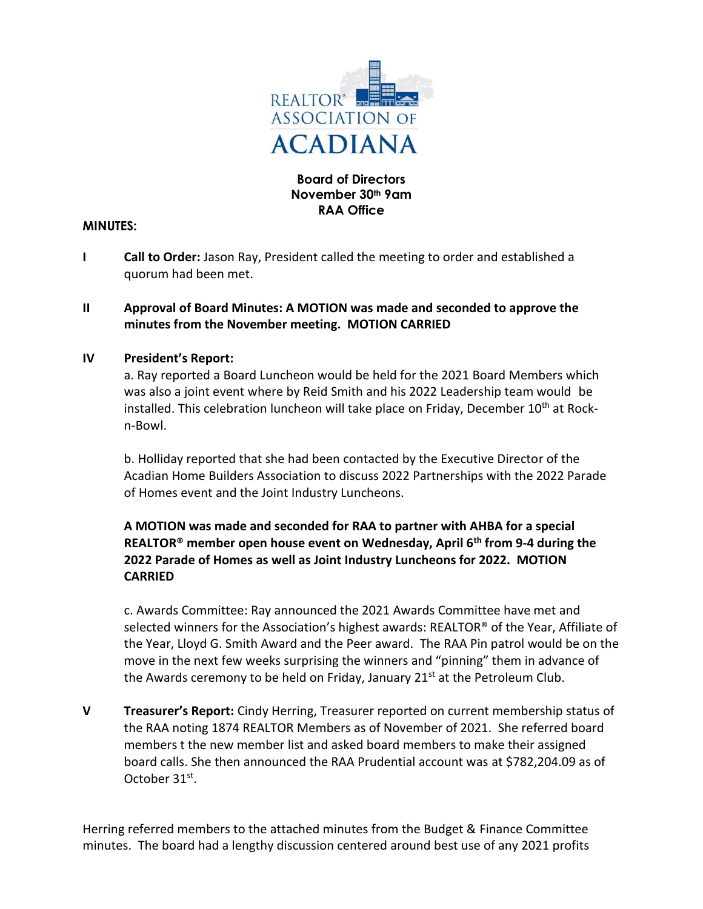

# **Board of Directors November 30th 9am RAA Office**

#### **MINUTES:**

**I Call to Order:** Jason Ray, President called the meeting to order and established a quorum had been met.

## **II Approval of Board Minutes: A MOTION was made and seconded to approve the minutes from the November meeting. MOTION CARRIED**

#### **IV President's Report:**

a. Ray reported a Board Luncheon would be held for the 2021 Board Members which was also a joint event where by Reid Smith and his 2022 Leadership team would be installed. This celebration luncheon will take place on Friday, December  $10<sup>th</sup>$  at Rockn-Bowl.

b. Holliday reported that she had been contacted by the Executive Director of the Acadian Home Builders Association to discuss 2022 Partnerships with the 2022 Parade of Homes event and the Joint Industry Luncheons.

# **A MOTION was made and seconded for RAA to partner with AHBA for a special REALTOR® member open house event on Wednesday, April 6th from 9-4 during the 2022 Parade of Homes as well as Joint Industry Luncheons for 2022. MOTION CARRIED**

c. Awards Committee: Ray announced the 2021 Awards Committee have met and selected winners for the Association's highest awards: REALTOR® of the Year, Affiliate of the Year, Lloyd G. Smith Award and the Peer award. The RAA Pin patrol would be on the move in the next few weeks surprising the winners and "pinning" them in advance of the Awards ceremony to be held on Friday, January  $21<sup>st</sup>$  at the Petroleum Club.

**V Treasurer's Report:** Cindy Herring, Treasurer reported on current membership status of the RAA noting 1874 REALTOR Members as of November of 2021. She referred board members t the new member list and asked board members to make their assigned board calls. She then announced the RAA Prudential account was at \$782,204.09 as of October 31<sup>st</sup>.

Herring referred members to the attached minutes from the Budget & Finance Committee minutes. The board had a lengthy discussion centered around best use of any 2021 profits